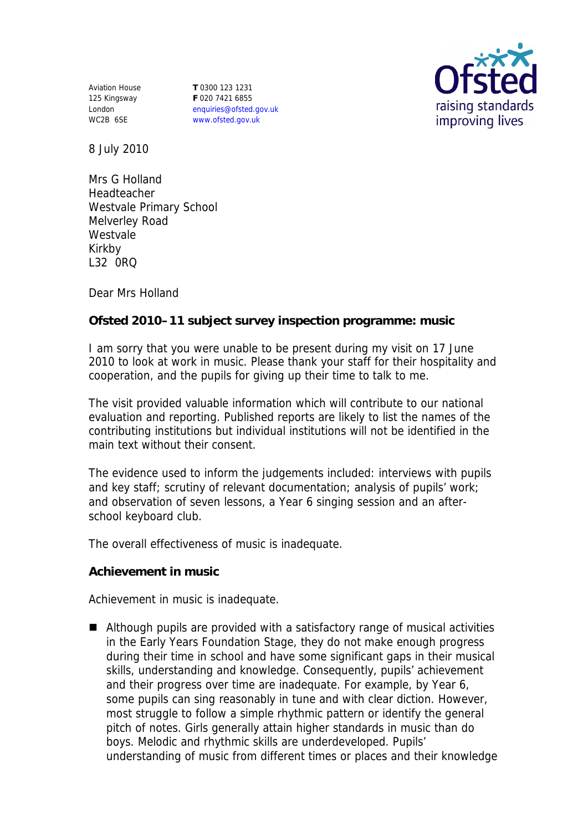Aviation House 125 Kingsway London WC2B 6SE

**T** 0300 123 1231 **F** 020 7421 6855 enquiries@ofsted.gov.uk www.ofsted.gov.uk



8 July 2010

Mrs G Holland Headteacher Westvale Primary School Melverley Road Westvale Kirkby L32 0RQ

Dear Mrs Holland

**Ofsted 2010–11 subject survey inspection programme: music**

I am sorry that you were unable to be present during my visit on 17 June 2010 to look at work in music. Please thank your staff for their hospitality and cooperation, and the pupils for giving up their time to talk to me.

The visit provided valuable information which will contribute to our national evaluation and reporting. Published reports are likely to list the names of the contributing institutions but individual institutions will not be identified in the main text without their consent.

The evidence used to inform the judgements included: interviews with pupils and key staff; scrutiny of relevant documentation; analysis of pupils' work; and observation of seven lessons, a Year 6 singing session and an afterschool keyboard club.

The overall effectiveness of music is inadequate.

**Achievement in music**

Achievement in music is inadequate.

■ Although pupils are provided with a satisfactory range of musical activities in the Early Years Foundation Stage, they do not make enough progress during their time in school and have some significant gaps in their musical skills, understanding and knowledge. Consequently, pupils' achievement and their progress over time are inadequate. For example, by Year 6, some pupils can sing reasonably in tune and with clear diction. However, most struggle to follow a simple rhythmic pattern or identify the general pitch of notes. Girls generally attain higher standards in music than do boys. Melodic and rhythmic skills are underdeveloped. Pupils' understanding of music from different times or places and their knowledge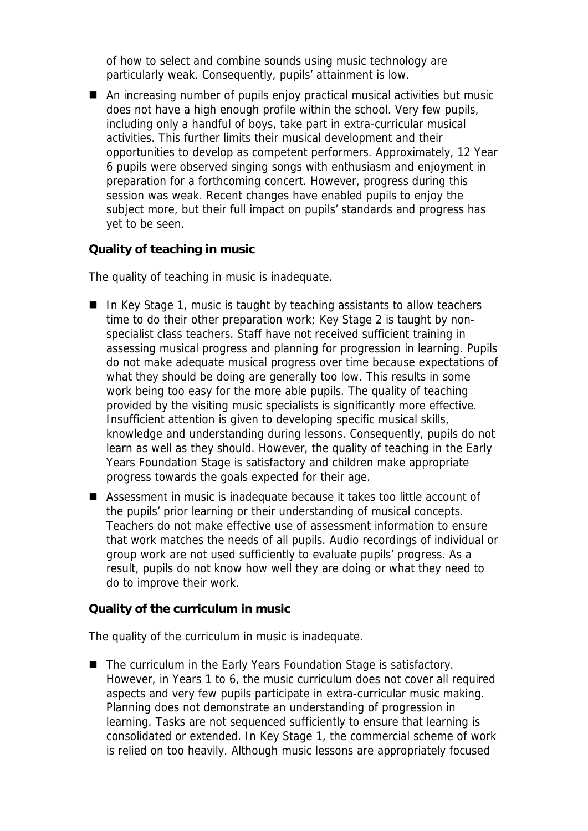of how to select and combine sounds using music technology are particularly weak. Consequently, pupils' attainment is low.

■ An increasing number of pupils enjoy practical musical activities but music does not have a high enough profile within the school. Very few pupils, including only a handful of boys, take part in extra-curricular musical activities. This further limits their musical development and their opportunities to develop as competent performers. Approximately, 12 Year 6 pupils were observed singing songs with enthusiasm and enjoyment in preparation for a forthcoming concert. However, progress during this session was weak. Recent changes have enabled pupils to enjoy the subject more, but their full impact on pupils' standards and progress has yet to be seen.

**Quality of teaching in music**

The quality of teaching in music is inadequate.

- In Key Stage 1, music is taught by teaching assistants to allow teachers time to do their other preparation work; Key Stage 2 is taught by nonspecialist class teachers. Staff have not received sufficient training in assessing musical progress and planning for progression in learning. Pupils do not make adequate musical progress over time because expectations of what they should be doing are generally too low. This results in some work being too easy for the more able pupils. The quality of teaching provided by the visiting music specialists is significantly more effective. Insufficient attention is given to developing specific musical skills, knowledge and understanding during lessons. Consequently, pupils do not learn as well as they should. However, the quality of teaching in the Early Years Foundation Stage is satisfactory and children make appropriate progress towards the goals expected for their age.
- Assessment in music is inadequate because it takes too little account of the pupils' prior learning or their understanding of musical concepts. Teachers do not make effective use of assessment information to ensure that work matches the needs of all pupils. Audio recordings of individual or group work are not used sufficiently to evaluate pupils' progress. As a result, pupils do not know how well they are doing or what they need to do to improve their work.

**Quality of the curriculum in music**

The quality of the curriculum in music is inadequate.

■ The curriculum in the Early Years Foundation Stage is satisfactory. However, in Years 1 to 6, the music curriculum does not cover all required aspects and very few pupils participate in extra-curricular music making. Planning does not demonstrate an understanding of progression in learning. Tasks are not sequenced sufficiently to ensure that learning is consolidated or extended. In Key Stage 1, the commercial scheme of work is relied on too heavily. Although music lessons are appropriately focused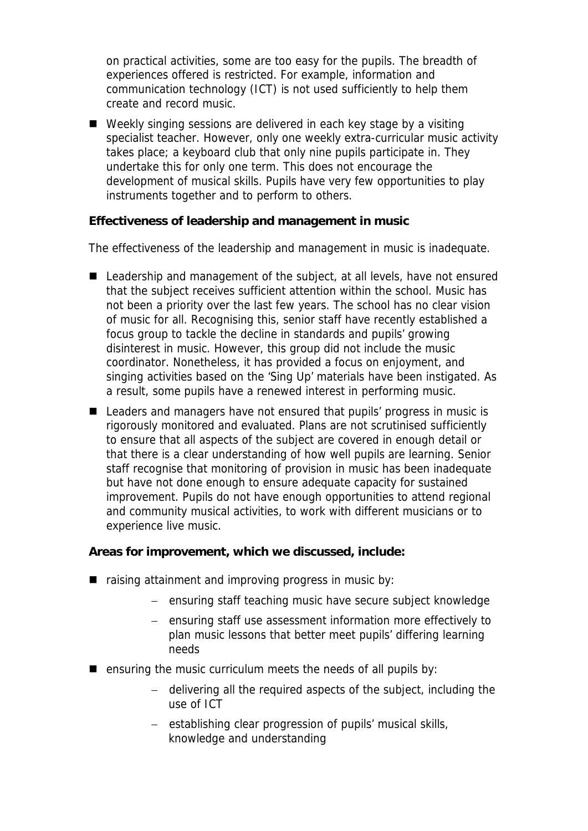on practical activities, some are too easy for the pupils. The breadth of experiences offered is restricted. For example, information and communication technology (ICT) is not used sufficiently to help them create and record music.

■ Weekly singing sessions are delivered in each key stage by a visiting specialist teacher. However, only one weekly extra-curricular music activity takes place; a keyboard club that only nine pupils participate in. They undertake this for only one term. This does not encourage the development of musical skills. Pupils have very few opportunities to play instruments together and to perform to others.

**Effectiveness of leadership and management in music**

The effectiveness of the leadership and management in music is inadequate.

- Leadership and management of the subject, at all levels, have not ensured that the subject receives sufficient attention within the school. Music has not been a priority over the last few years. The school has no clear vision of music for all. Recognising this, senior staff have recently established a focus group to tackle the decline in standards and pupils' growing disinterest in music. However, this group did not include the music coordinator. Nonetheless, it has provided a focus on enjoyment, and singing activities based on the 'Sing Up' materials have been instigated. As a result, some pupils have a renewed interest in performing music.
- Leaders and managers have not ensured that pupils' progress in music is rigorously monitored and evaluated. Plans are not scrutinised sufficiently to ensure that all aspects of the subject are covered in enough detail or that there is a clear understanding of how well pupils are learning. Senior staff recognise that monitoring of provision in music has been inadequate but have not done enough to ensure adequate capacity for sustained improvement. Pupils do not have enough opportunities to attend regional and community musical activities, to work with different musicians or to experience live music.

**Areas for improvement, which we discussed, include:**

- $\blacksquare$  raising attainment and improving progress in music by:
	- ensuring staff teaching music have secure subject knowledge
	- ensuring staff use assessment information more effectively to plan music lessons that better meet pupils' differing learning needs
- **E** ensuring the music curriculum meets the needs of all pupils by:
	- delivering all the required aspects of the subject, including the use of ICT
	- establishing clear progression of pupils' musical skills, knowledge and understanding